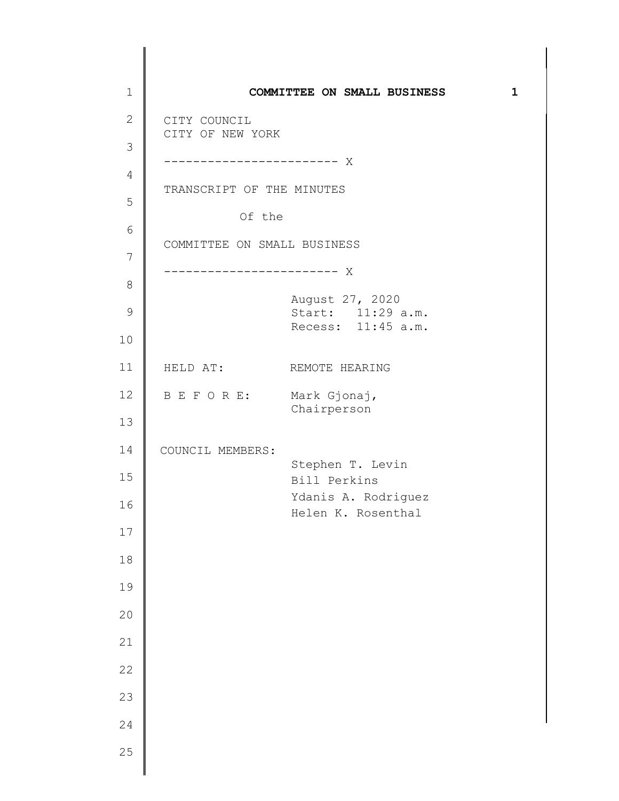| $\mathbf 1$  |                                  | COMMITTEE ON SMALL BUSINESS               | $\mathbf{1}$ |
|--------------|----------------------------------|-------------------------------------------|--------------|
| $\mathbf{2}$ | CITY COUNCIL<br>CITY OF NEW YORK |                                           |              |
| 3            |                                  |                                           |              |
| 4            |                                  |                                           |              |
| 5            | TRANSCRIPT OF THE MINUTES        |                                           |              |
| 6            | Of the                           |                                           |              |
| 7            | COMMITTEE ON SMALL BUSINESS      |                                           |              |
| $\,8\,$      |                                  |                                           |              |
| $\mathsf 9$  |                                  | August 27, 2020<br>Start: 11:29 a.m.      |              |
| 10           |                                  | Recess: 11:45 a.m.                        |              |
| 11           | HELD AT: REMOTE HEARING          |                                           |              |
| 12           | B E F O R E:                     | Mark Gjonaj,                              |              |
| 13           |                                  | Chairperson                               |              |
| 14           | COUNCIL MEMBERS:                 |                                           |              |
| 15           |                                  | Stephen T. Levin<br>Bill Perkins          |              |
| 16           |                                  | Ydanis A. Rodriguez<br>Helen K. Rosenthal |              |
| 17           |                                  |                                           |              |
| 18           |                                  |                                           |              |
| 19           |                                  |                                           |              |
| 20           |                                  |                                           |              |
| 21           |                                  |                                           |              |
| 22           |                                  |                                           |              |
| 23           |                                  |                                           |              |
| 24           |                                  |                                           |              |
| 25           |                                  |                                           |              |
|              |                                  |                                           |              |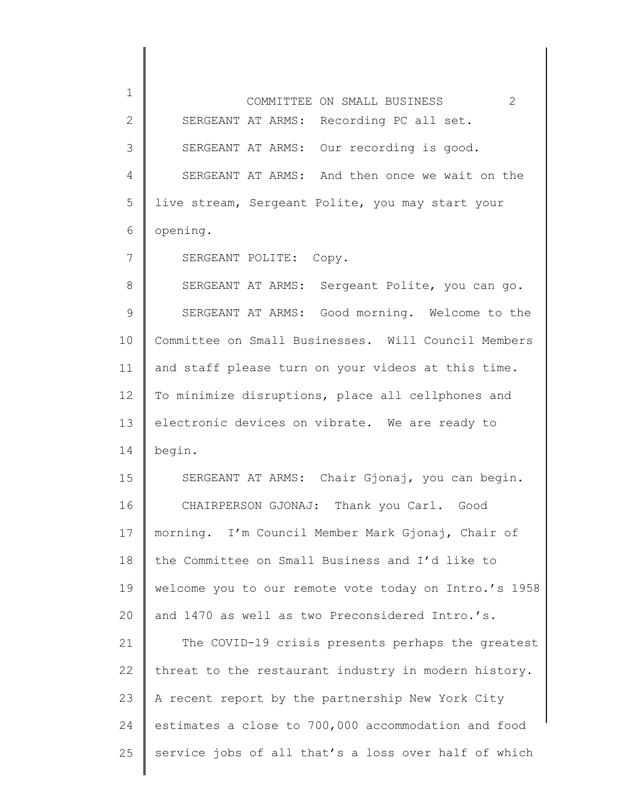1 2 3 4 5 6 7 8 9 10 11 12 13 14 15 16 17 18 19 20 21 22 23 24 25 COMMITTEE ON SMALL BUSINESS 2 SERGEANT AT ARMS: Recording PC all set. SERGEANT AT ARMS: Our recording is good. SERGEANT AT ARMS: And then once we wait on the live stream, Sergeant Polite, you may start your opening. SERGEANT POLITE: Copy. SERGEANT AT ARMS: Sergeant Polite, you can go. SERGEANT AT ARMS: Good morning. Welcome to the Committee on Small Businesses. Will Council Members and staff please turn on your videos at this time. To minimize disruptions, place all cellphones and electronic devices on vibrate. We are ready to begin. SERGEANT AT ARMS: Chair Gjonaj, you can begin. CHAIRPERSON GJONAJ: Thank you Carl. Good morning. I'm Council Member Mark Gjonaj, Chair of the Committee on Small Business and I'd like to welcome you to our remote vote today on Intro.'s 1958 and 1470 as well as two Preconsidered Intro.'s. The COVID-19 crisis presents perhaps the greatest threat to the restaurant industry in modern history. A recent report by the partnership New York City estimates a close to 700,000 accommodation and food service jobs of all that's a loss over half of which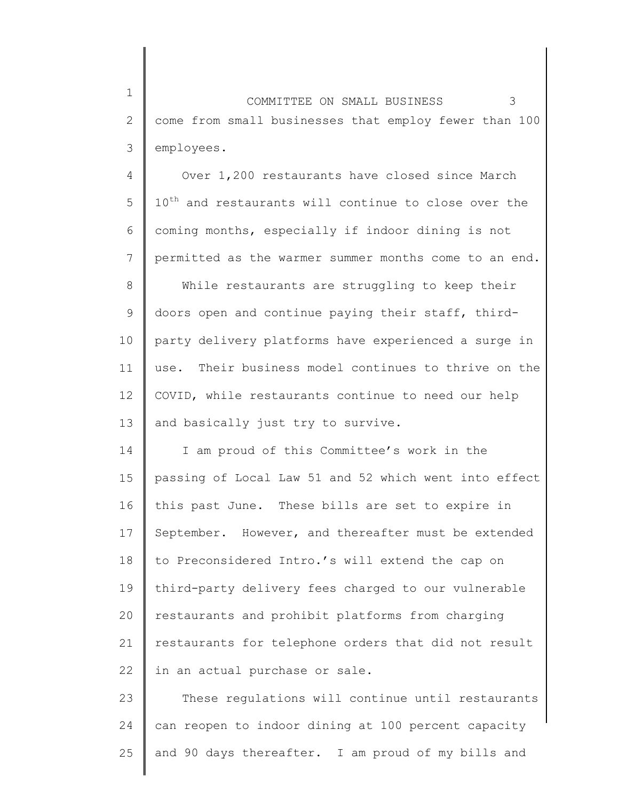2 3 COMMITTEE ON SMALL BUSINESS 3 come from small businesses that employ fewer than 100 employees.

1

4 5 6 7 8 9 10 11 12 13 Over 1,200 restaurants have closed since March  $10^{th}$  and restaurants will continue to close over the coming months, especially if indoor dining is not permitted as the warmer summer months come to an end. While restaurants are struggling to keep their doors open and continue paying their staff, thirdparty delivery platforms have experienced a surge in use. Their business model continues to thrive on the COVID, while restaurants continue to need our help and basically just try to survive.

14 15 16 17 18 19 20 21 22 I am proud of this Committee's work in the passing of Local Law 51 and 52 which went into effect this past June. These bills are set to expire in September. However, and thereafter must be extended to Preconsidered Intro.'s will extend the cap on third-party delivery fees charged to our vulnerable restaurants and prohibit platforms from charging restaurants for telephone orders that did not result in an actual purchase or sale.

23 24 25 These regulations will continue until restaurants can reopen to indoor dining at 100 percent capacity and 90 days thereafter. I am proud of my bills and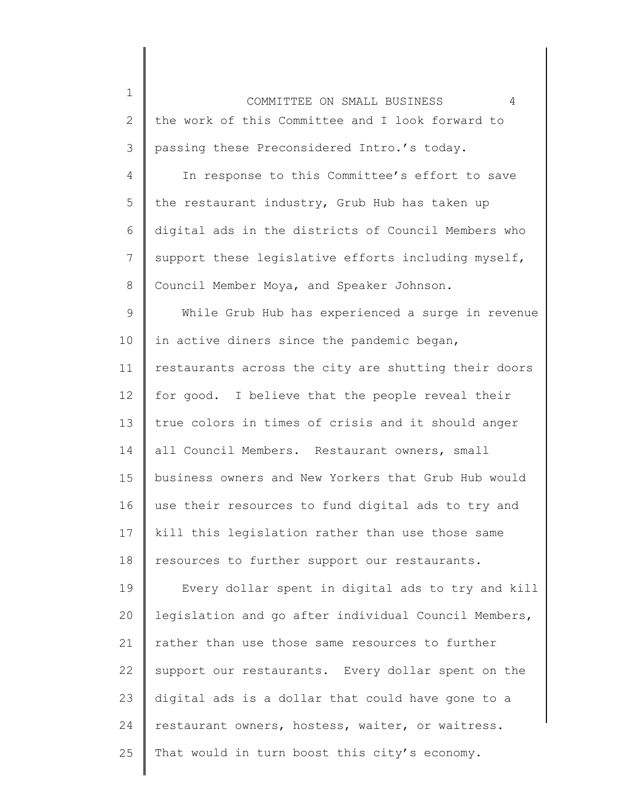2 3 COMMITTEE ON SMALL BUSINESS 4 the work of this Committee and I look forward to passing these Preconsidered Intro.'s today.

1

4 5 6 7 8 In response to this Committee's effort to save the restaurant industry, Grub Hub has taken up digital ads in the districts of Council Members who support these legislative efforts including myself, Council Member Moya, and Speaker Johnson.

9 10 11 12 13 14 15 16 17 18 While Grub Hub has experienced a surge in revenue in active diners since the pandemic began, restaurants across the city are shutting their doors for good. I believe that the people reveal their true colors in times of crisis and it should anger all Council Members. Restaurant owners, small business owners and New Yorkers that Grub Hub would use their resources to fund digital ads to try and kill this legislation rather than use those same resources to further support our restaurants.

19 20 21 22 23 24 25 Every dollar spent in digital ads to try and kill legislation and go after individual Council Members, rather than use those same resources to further support our restaurants. Every dollar spent on the digital ads is a dollar that could have gone to a restaurant owners, hostess, waiter, or waitress. That would in turn boost this city's economy.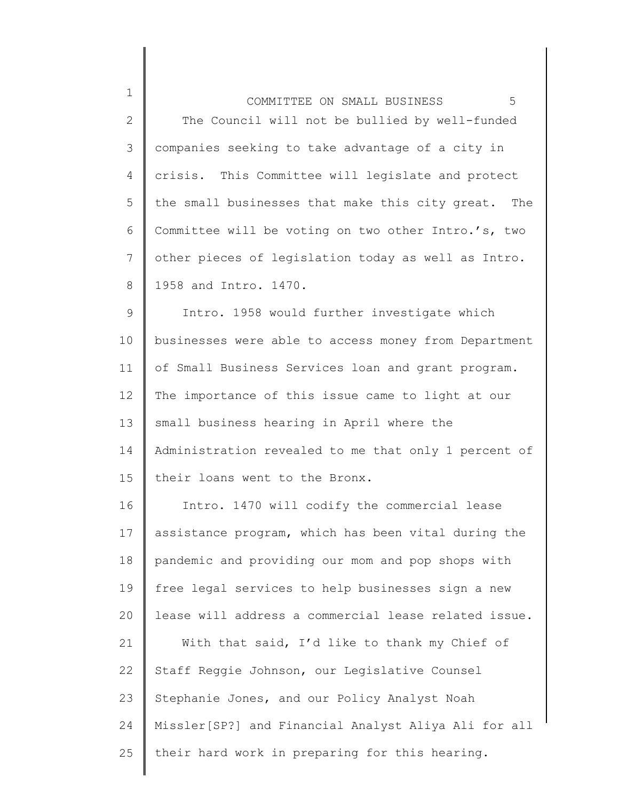| $\mathbf 1$    | 5<br>COMMITTEE ON SMALL BUSINESS                     |  |
|----------------|------------------------------------------------------|--|
| $\overline{2}$ | The Council will not be bullied by well-funded       |  |
| 3              | companies seeking to take advantage of a city in     |  |
| 4              | crisis. This Committee will legislate and protect    |  |
| 5              | the small businesses that make this city great. The  |  |
| 6              | Committee will be voting on two other Intro.'s, two  |  |
| $\overline{7}$ | other pieces of legislation today as well as Intro.  |  |
| 8              | 1958 and Intro. 1470.                                |  |
| $\mathsf 9$    | Intro. 1958 would further investigate which          |  |
| 10             | businesses were able to access money from Department |  |
| 11             | of Small Business Services loan and grant program.   |  |
| 12             | The importance of this issue came to light at our    |  |
| 13             | small business hearing in April where the            |  |
| 14             | Administration revealed to me that only 1 percent of |  |
| 15             | their loans went to the Bronx.                       |  |
| 16             | Intro. 1470 will codify the commercial lease         |  |
| 17             | assistance program, which has been vital during the  |  |
| 18             | pandemic and providing our mom and pop shops with    |  |
| 19             | free legal services to help businesses sign a new    |  |
| 20             | lease will address a commercial lease related issue. |  |
| 21             | With that said, I'd like to thank my Chief of        |  |
| 22             | Staff Reggie Johnson, our Legislative Counsel        |  |
| 23             | Stephanie Jones, and our Policy Analyst Noah         |  |
| 24             | Missler[SP?] and Financial Analyst Aliya Ali for all |  |
| 25             | their hard work in preparing for this hearing.       |  |
|                |                                                      |  |

║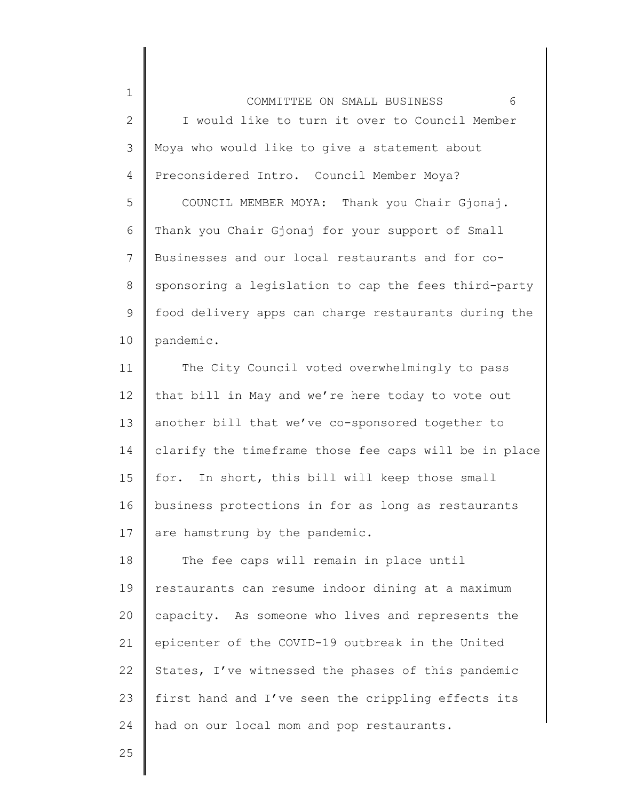2 3 4 5 6 COMMITTEE ON SMALL BUSINESS 6 I would like to turn it over to Council Member Moya who would like to give a statement about Preconsidered Intro. Council Member Moya? COUNCIL MEMBER MOYA: Thank you Chair Gjonaj. Thank you Chair Gjonaj for your support of Small

7 8 9 10 Businesses and our local restaurants and for cosponsoring a legislation to cap the fees third-party food delivery apps can charge restaurants during the pandemic.

11 12 13 14 15 16 17 The City Council voted overwhelmingly to pass that bill in May and we're here today to vote out another bill that we've co-sponsored together to clarify the timeframe those fee caps will be in place for. In short, this bill will keep those small business protections in for as long as restaurants are hamstrung by the pandemic.

18 19 20 21 22 23 24 The fee caps will remain in place until restaurants can resume indoor dining at a maximum capacity. As someone who lives and represents the epicenter of the COVID-19 outbreak in the United States, I've witnessed the phases of this pandemic first hand and I've seen the crippling effects its had on our local mom and pop restaurants.

25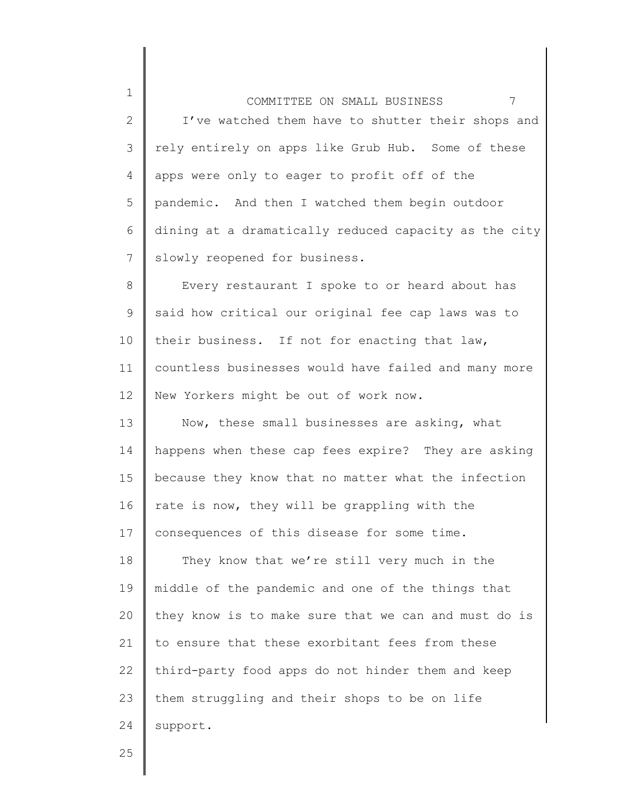1 2 3 4 5 6 7 COMMITTEE ON SMALL BUSINESS 7 I've watched them have to shutter their shops and rely entirely on apps like Grub Hub. Some of these apps were only to eager to profit off of the pandemic. And then I watched them begin outdoor dining at a dramatically reduced capacity as the city slowly reopened for business.

8 9 10 11 12 Every restaurant I spoke to or heard about has said how critical our original fee cap laws was to their business. If not for enacting that law, countless businesses would have failed and many more New Yorkers might be out of work now.

13 14 15 16 17 Now, these small businesses are asking, what happens when these cap fees expire? They are asking because they know that no matter what the infection rate is now, they will be grappling with the consequences of this disease for some time.

18 19 20 21 22 23 24 They know that we're still very much in the middle of the pandemic and one of the things that they know is to make sure that we can and must do is to ensure that these exorbitant fees from these third-party food apps do not hinder them and keep them struggling and their shops to be on life support.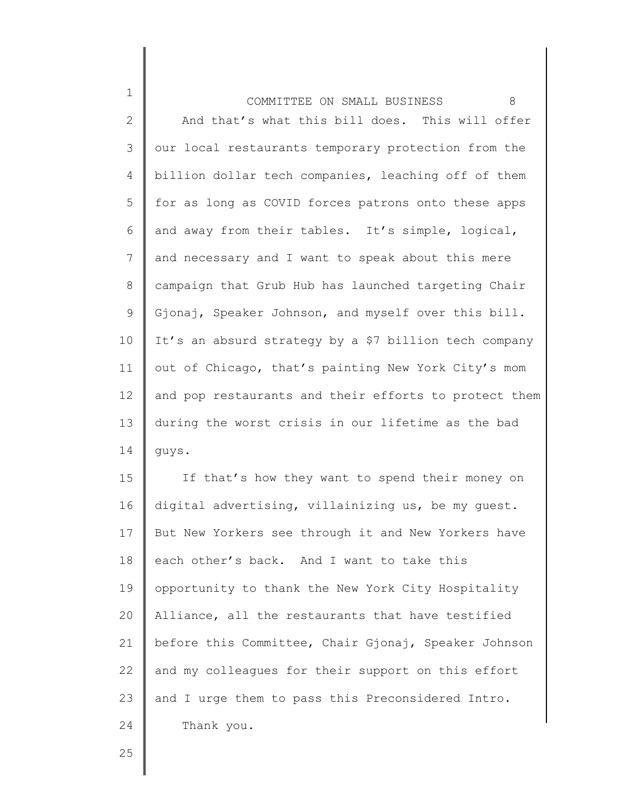1 2 3 4 5 6 7 8 9 10 11 12 13 14 COMMITTEE ON SMALL BUSINESS 8 And that's what this bill does. This will offer our local restaurants temporary protection from the billion dollar tech companies, leaching off of them for as long as COVID forces patrons onto these apps and away from their tables. It's simple, logical, and necessary and I want to speak about this mere campaign that Grub Hub has launched targeting Chair Gjonaj, Speaker Johnson, and myself over this bill. It's an absurd strategy by a \$7 billion tech company out of Chicago, that's painting New York City's mom and pop restaurants and their efforts to protect them during the worst crisis in our lifetime as the bad guys.

15 16 17 18 19 20 21 22 23 24 If that's how they want to spend their money on digital advertising, villainizing us, be my guest. But New Yorkers see through it and New Yorkers have each other's back. And I want to take this opportunity to thank the New York City Hospitality Alliance, all the restaurants that have testified before this Committee, Chair Gjonaj, Speaker Johnson and my colleagues for their support on this effort and I urge them to pass this Preconsidered Intro. Thank you.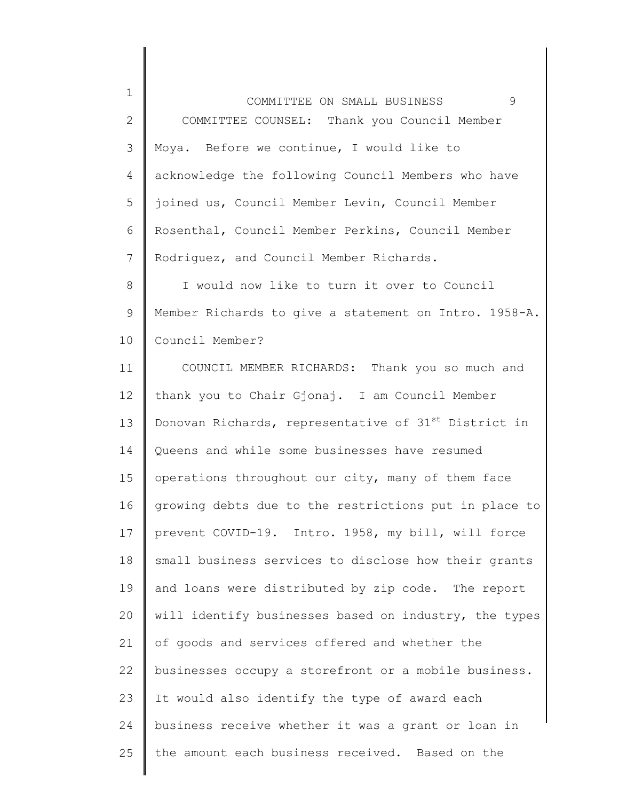1 2 3 4 5 6 7 COMMITTEE ON SMALL BUSINESS 9 COMMITTEE COUNSEL: Thank you Council Member Moya. Before we continue, I would like to acknowledge the following Council Members who have joined us, Council Member Levin, Council Member Rosenthal, Council Member Perkins, Council Member Rodriguez, and Council Member Richards.

8 9 10 I would now like to turn it over to Council Member Richards to give a statement on Intro. 1958-A. Council Member?

11 12 13 14 15 16 17 18 19 20 21 22 23 24 25 COUNCIL MEMBER RICHARDS: Thank you so much and thank you to Chair Gjonaj. I am Council Member Donovan Richards, representative of  $31^{st}$  District in Queens and while some businesses have resumed operations throughout our city, many of them face growing debts due to the restrictions put in place to prevent COVID-19. Intro. 1958, my bill, will force small business services to disclose how their grants and loans were distributed by zip code. The report will identify businesses based on industry, the types of goods and services offered and whether the businesses occupy a storefront or a mobile business. It would also identify the type of award each business receive whether it was a grant or loan in the amount each business received. Based on the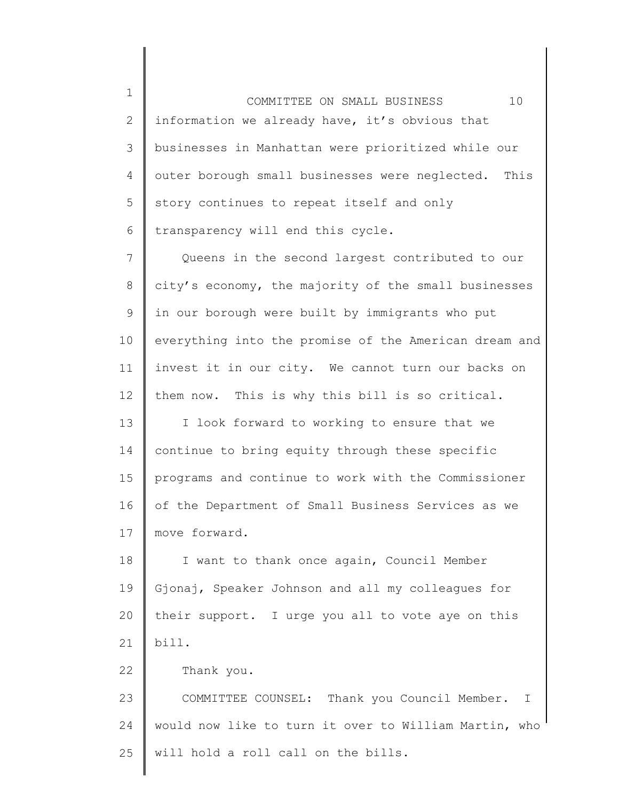1 2 3 4 5 6 COMMITTEE ON SMALL BUSINESS 10 information we already have, it's obvious that businesses in Manhattan were prioritized while our outer borough small businesses were neglected. This story continues to repeat itself and only transparency will end this cycle.

7 8 9 10 11 12 Queens in the second largest contributed to our city's economy, the majority of the small businesses in our borough were built by immigrants who put everything into the promise of the American dream and invest it in our city. We cannot turn our backs on them now. This is why this bill is so critical.

13 14 15 16 17 I look forward to working to ensure that we continue to bring equity through these specific programs and continue to work with the Commissioner of the Department of Small Business Services as we move forward.

18 19 20 21 I want to thank once again, Council Member Gjonaj, Speaker Johnson and all my colleagues for their support. I urge you all to vote aye on this bill.

22 Thank you.

23 24 25 COMMITTEE COUNSEL: Thank you Council Member. I would now like to turn it over to William Martin, who will hold a roll call on the bills.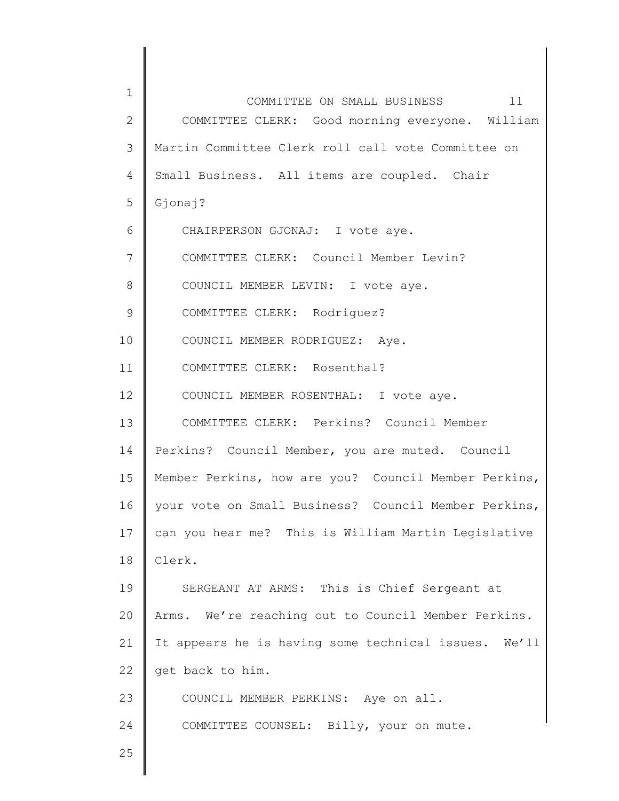| $\mathbf 1$    | 11<br>COMMITTEE ON SMALL BUSINESS                    |
|----------------|------------------------------------------------------|
| $\mathbf{2}$   | COMMITTEE CLERK: Good morning everyone. William      |
| $\mathfrak{Z}$ | Martin Committee Clerk roll call vote Committee on   |
| 4              | Small Business. All items are coupled. Chair         |
| 5              | Gjonaj?                                              |
| 6              | CHAIRPERSON GJONAJ: I vote aye.                      |
| $\overline{7}$ | COMMITTEE CLERK: Council Member Levin?               |
| 8              | COUNCIL MEMBER LEVIN: I vote aye.                    |
| $\mathcal{G}$  | COMMITTEE CLERK: Rodriguez?                          |
| 10             | COUNCIL MEMBER RODRIGUEZ: Aye.                       |
| 11             | COMMITTEE CLERK: Rosenthal?                          |
| 12             | COUNCIL MEMBER ROSENTHAL: I vote aye.                |
| 13             | COMMITTEE CLERK: Perkins? Council Member             |
| 14             | Perkins? Council Member, you are muted. Council      |
| 15             | Member Perkins, how are you? Council Member Perkins, |
| 16             | your vote on Small Business? Council Member Perkins, |
| 17             | can you hear me? This is William Martin Legislative  |
| 18             | Clerk.                                               |
| 19             | SERGEANT AT ARMS: This is Chief Sergeant at          |
| 20             | Arms. We're reaching out to Council Member Perkins.  |
| 21             | It appears he is having some technical issues. We'll |
| 22             | get back to him.                                     |
| 23             | COUNCIL MEMBER PERKINS: Aye on all.                  |
| 24             | COMMITTEE COUNSEL: Billy, your on mute.              |
| 25             |                                                      |
|                |                                                      |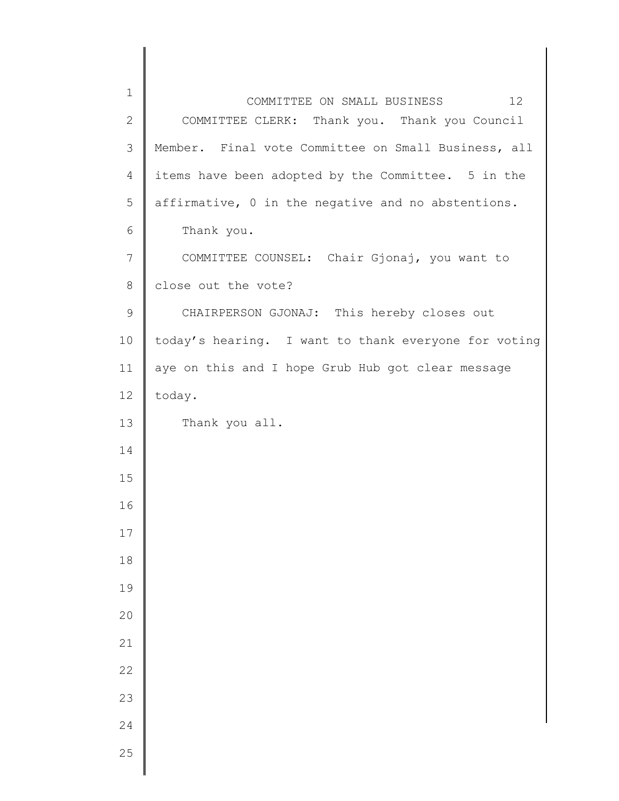| $\mathbf 1$  | COMMITTEE ON SMALL BUSINESS<br>12                    |
|--------------|------------------------------------------------------|
| $\mathbf{2}$ | COMMITTEE CLERK: Thank you. Thank you Council        |
| 3            | Member. Final vote Committee on Small Business, all  |
| 4            | items have been adopted by the Committee. 5 in the   |
| 5            | affirmative, 0 in the negative and no abstentions.   |
| 6            | Thank you.                                           |
| 7            | COMMITTEE COUNSEL: Chair Gjonaj, you want to         |
| $8\,$        | close out the vote?                                  |
| $\mathsf 9$  | CHAIRPERSON GJONAJ: This hereby closes out           |
| 10           | today's hearing. I want to thank everyone for voting |
| 11           | aye on this and I hope Grub Hub got clear message    |
| 12           | today.                                               |
| 13           | Thank you all.                                       |
| 14           |                                                      |
| 15           |                                                      |
| 16           |                                                      |
| 17           |                                                      |
| 18           |                                                      |
| 19           |                                                      |
| 20           |                                                      |
| 21           |                                                      |
| 22           |                                                      |
| 23           |                                                      |
| 24           |                                                      |
| 25           |                                                      |
|              |                                                      |